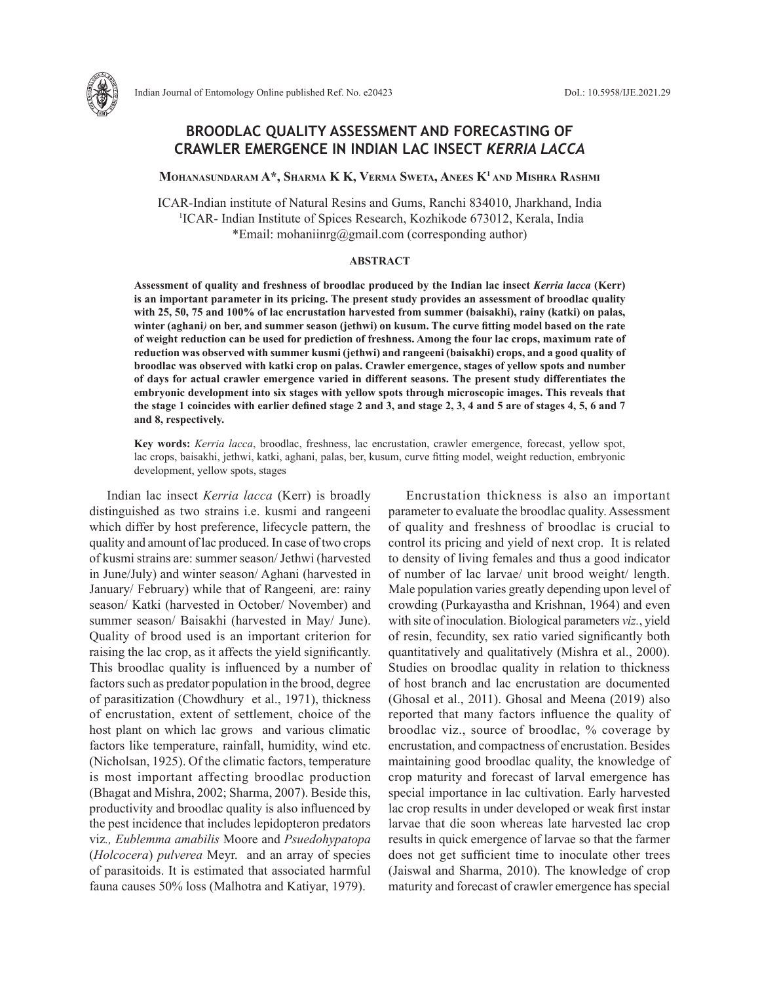# **BROODLAC QUALITY ASSESSMENT AND FORECASTING OF CRAWLER EMERGENCE IN INDIAN LAC INSECT** *KERRIA LACCA*

**Mohanasundaram A\*, Sharma K K, Verma Sweta, Anees K1 and Mishra Rashmi**

ICAR-Indian institute of Natural Resins and Gums, Ranchi 834010, Jharkhand, India 1 ICAR- Indian Institute of Spices Research, Kozhikode 673012, Kerala, India \*Email: mohaniinrg@gmail.com (corresponding author)

## **ABSTRACT**

**Assessment of quality and freshness of broodlac produced by the Indian lac insect** *Kerria lacca* **(Kerr) is an important parameter in its pricing. The present study provides an assessment of broodlac quality with 25, 50, 75 and 100% of lac encrustation harvested from summer (baisakhi), rainy (katki) on palas, winter (aghani***)* **on ber, and summer season (jethwi) on kusum. The curve fitting model based on the rate of weight reduction can be used for prediction of freshness. Among the four lac crops, maximum rate of reduction was observed with summer kusmi (jethwi) and rangeeni (baisakhi) crops, and a good quality of broodlac was observed with katki crop on palas. Crawler emergence, stages of yellow spots and number of days for actual crawler emergence varied in different seasons. The present study differentiates the embryonic development into six stages with yellow spots through microscopic images. This reveals that the stage 1 coincides with earlier defined stage 2 and 3, and stage 2, 3, 4 and 5 are of stages 4, 5, 6 and 7 and 8, respectively.** 

**Key words:** *Kerria lacca*, broodlac, freshness, lac encrustation, crawler emergence, forecast, yellow spot, lac crops, baisakhi, jethwi, katki, aghani, palas, ber, kusum, curve fitting model, weight reduction, embryonic development, yellow spots, stages

Indian lac insect *Kerria lacca* (Kerr) is broadly distinguished as two strains i.e. kusmi and rangeeni which differ by host preference, lifecycle pattern, the quality and amount of lac produced. In case of two crops of kusmistrains are: summer season/ Jethwi (harvested in June/July) and winter season/ Aghani (harvested in January/ February) while that of Rangeeni*,* are: rainy season/ Katki (harvested in October/ November) and summer season/ Baisakhi (harvested in May/ June). Quality of brood used is an important criterion for raising the lac crop, as it affects the yield significantly. This broodlac quality is influenced by a number of factors such as predator population in the brood, degree of parasitization (Chowdhury et al., 1971), thickness of encrustation, extent of settlement, choice of the host plant on which lac grows and various climatic factors like temperature, rainfall, humidity, wind etc. (Nicholsan, 1925). Of the climatic factors, temperature is most important affecting broodlac production (Bhagat and Mishra, 2002; Sharma, 2007). Beside this, productivity and broodlac quality is also influenced by the pest incidence that includes lepidopteron predators viz*., Eublemma amabilis* Moore and *Psuedohypatopa*  (*Holcocera*) *pulverea* Meyr. and an array of species of parasitoids. It is estimated that associated harmful fauna causes 50% loss (Malhotra and Katiyar, 1979).

Encrustation thickness is also an important parameter to evaluate the broodlac quality. Assessment of quality and freshness of broodlac is crucial to control its pricing and yield of next crop. It is related to density of living females and thus a good indicator of number of lac larvae/ unit brood weight/ length. Male population varies greatly depending upon level of crowding (Purkayastha and Krishnan, 1964) and even with site of inoculation. Biological parameters *viz.*, yield of resin, fecundity, sex ratio varied significantly both quantitatively and qualitatively (Mishra et al., 2000). Studies on broodlac quality in relation to thickness of host branch and lac encrustation are documented (Ghosal et al., 2011). Ghosal and Meena (2019) also reported that many factors influence the quality of broodlac viz., source of broodlac, % coverage by encrustation, and compactness of encrustation. Besides maintaining good broodlac quality, the knowledge of crop maturity and forecast of larval emergence has special importance in lac cultivation. Early harvested lac crop results in under developed or weak first instar larvae that die soon whereas late harvested lac crop results in quick emergence of larvae so that the farmer does not get sufficient time to inoculate other trees (Jaiswal and Sharma, 2010). The knowledge of crop maturity and forecast of crawler emergence has special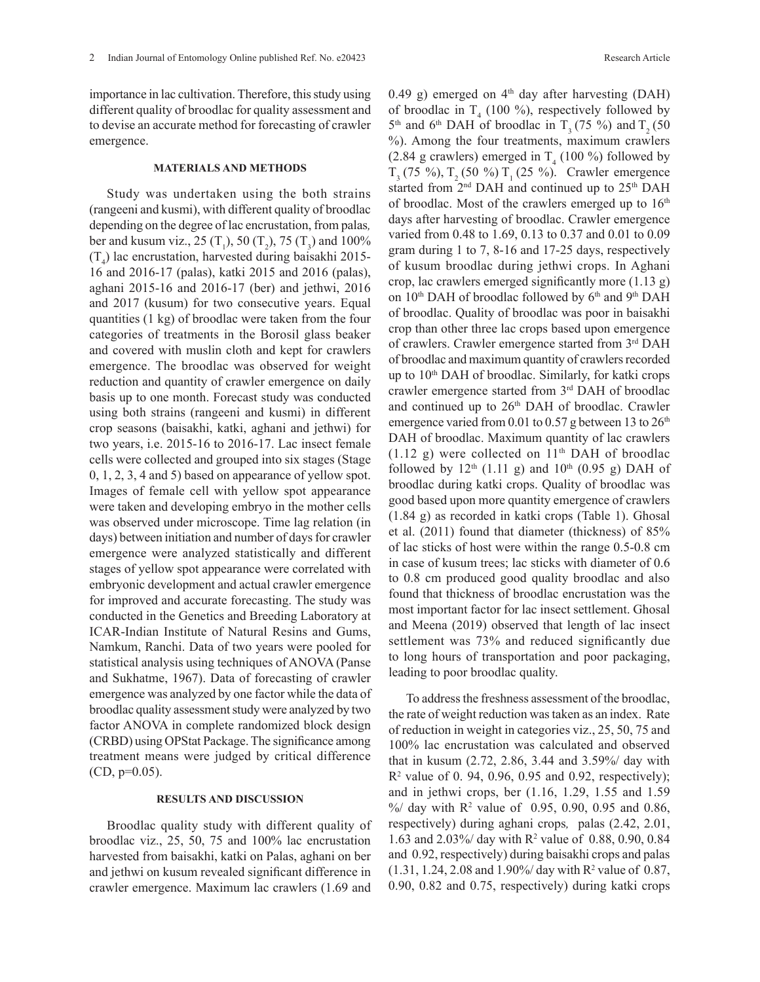importance in lac cultivation. Therefore, this study using different quality of broodlac for quality assessment and to devise an accurate method for forecasting of crawler emergence.

### **MATERIALS AND METHODS**

Study was undertaken using the both strains (rangeeni and kusmi), with different quality of broodlac depending on the degree of lac encrustation, from palas*,* ber and kusum viz., 25  $(T_1)$ , 50  $(T_2)$ , 75  $(T_3)$  and 100%  $(T_4)$  lac encrustation, harvested during baisakhi 2015-16 and 2016-17 (palas), katki 2015 and 2016 (palas), aghani 2015-16 and 2016-17 (ber) and jethwi, 2016 and 2017 (kusum) for two consecutive years. Equal quantities (1 kg) of broodlac were taken from the four categories of treatments in the Borosil glass beaker and covered with muslin cloth and kept for crawlers emergence. The broodlac was observed for weight reduction and quantity of crawler emergence on daily basis up to one month. Forecast study was conducted using both strains (rangeeni and kusmi) in different crop seasons (baisakhi, katki, aghani and jethwi) for two years, i.e. 2015-16 to 2016-17. Lac insect female cells were collected and grouped into six stages (Stage 0, 1, 2, 3, 4 and 5) based on appearance of yellow spot. Images of female cell with yellow spot appearance were taken and developing embryo in the mother cells was observed under microscope. Time lag relation (in days) between initiation and number of days for crawler emergence were analyzed statistically and different stages of yellow spot appearance were correlated with embryonic development and actual crawler emergence for improved and accurate forecasting. The study was conducted in the Genetics and Breeding Laboratory at ICAR-Indian Institute of Natural Resins and Gums, Namkum, Ranchi. Data of two years were pooled for statistical analysis using techniques of ANOVA (Panse and Sukhatme, 1967). Data of forecasting of crawler emergence was analyzed by one factor while the data of broodlac quality assessment study were analyzed by two factor ANOVA in complete randomized block design (CRBD) using OPStat Package. The significance among treatment means were judged by critical difference  $(CD, p=0.05)$ .

## **RESULTS AND DISCUSSION**

Broodlac quality study with different quality of broodlac viz., 25, 50, 75 and 100% lac encrustation harvested from baisakhi, katki on Palas, aghani on ber and jethwi on kusum revealed significant difference in crawler emergence. Maximum lac crawlers (1.69 and

0.49 g) emerged on  $4<sup>th</sup>$  day after harvesting (DAH) of broodlac in  $T_4$  (100 %), respectively followed by  $5<sup>th</sup>$  and  $6<sup>th</sup>$  DAH of broodlac in T<sub>3</sub> (75 %) and T<sub>3</sub> (50 %). Among the four treatments, maximum crawlers (2.84 g crawlers) emerged in  $T_4$  (100 %) followed by  $T_3$  (75 %),  $T_2$  (50 %)  $T_1$  (25 %). Crawler emergence started from 2<sup>nd</sup> DAH and continued up to 25<sup>th</sup> DAH of broodlac. Most of the crawlers emerged up to  $16<sup>th</sup>$ days after harvesting of broodlac. Crawler emergence varied from 0.48 to 1.69, 0.13 to 0.37 and 0.01 to 0.09 gram during 1 to 7, 8-16 and 17-25 days, respectively of kusum broodlac during jethwi crops. In Aghani crop, lac crawlers emerged significantly more (1.13 g) on 10<sup>th</sup> DAH of broodlac followed by 6<sup>th</sup> and 9<sup>th</sup> DAH of broodlac. Quality of broodlac was poor in baisakhi crop than other three lac crops based upon emergence of crawlers. Crawler emergence started from 3rd DAH of broodlac and maximum quantity of crawlers recorded up to 10<sup>th</sup> DAH of broodlac. Similarly, for katki crops crawler emergence started from 3rd DAH of broodlac and continued up to 26<sup>th</sup> DAH of broodlac. Crawler emergence varied from 0.01 to 0.57 g between 13 to  $26<sup>th</sup>$ DAH of broodlac. Maximum quantity of lac crawlers  $(1.12 \text{ g})$  were collected on  $11^{\text{th}}$  DAH of broodlac followed by  $12<sup>th</sup>$  (1.11 g) and  $10<sup>th</sup>$  (0.95 g) DAH of broodlac during katki crops. Quality of broodlac was good based upon more quantity emergence of crawlers (1.84 g) as recorded in katki crops (Table 1). Ghosal et al. (2011) found that diameter (thickness) of 85% of lac sticks of host were within the range 0.5-0.8 cm in case of kusum trees; lac sticks with diameter of 0.6 to 0.8 cm produced good quality broodlac and also found that thickness of broodlac encrustation was the most important factor for lac insect settlement. Ghosal and Meena (2019) observed that length of lac insect settlement was 73% and reduced significantly due to long hours of transportation and poor packaging, leading to poor broodlac quality.

To address the freshness assessment of the broodlac, the rate of weight reduction was taken as an index. Rate of reduction in weight in categories viz., 25, 50, 75 and 100% lac encrustation was calculated and observed that in kusum (2.72, 2.86, 3.44 and 3.59%/ day with R2 value of 0. 94, 0.96, 0.95 and 0.92, respectively); and in jethwi crops, ber (1.16, 1.29, 1.55 and 1.59 %/ day with R2 value of 0.95, 0.90, 0.95 and 0.86, respectively) during aghani crops*,* palas (2.42, 2.01, 1.63 and 2.03%/ day with  $R^2$  value of 0.88, 0.90, 0.84 and 0.92, respectively) during baisakhi crops and palas  $(1.31, 1.24, 2.08 \text{ and } 1.90\% / \text{ day with R}^2 \text{ value of } 0.87,$ 0.90, 0.82 and 0.75, respectively) during katki crops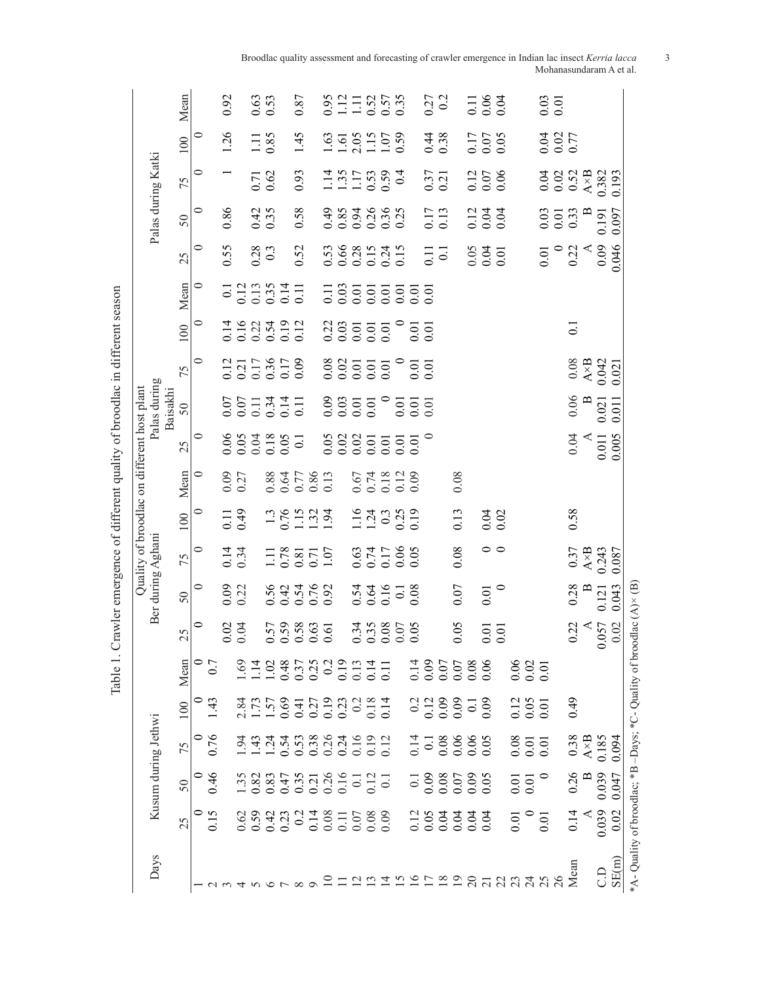|                                                                            |                                                                             |                                                               |                                                     |                                                                                                                                                                                                                                                                                                               |                                |                                      |                                 |                              |                                               | Quality of broodlac on different host plant |                                |                          |                                              |                                                                                                                                                                                                                                                                                                               |                                         |                            |                                                                              |                                                  |                                                 |                                             |
|----------------------------------------------------------------------------|-----------------------------------------------------------------------------|---------------------------------------------------------------|-----------------------------------------------------|---------------------------------------------------------------------------------------------------------------------------------------------------------------------------------------------------------------------------------------------------------------------------------------------------------------|--------------------------------|--------------------------------------|---------------------------------|------------------------------|-----------------------------------------------|---------------------------------------------|--------------------------------|--------------------------|----------------------------------------------|---------------------------------------------------------------------------------------------------------------------------------------------------------------------------------------------------------------------------------------------------------------------------------------------------------------|-----------------------------------------|----------------------------|------------------------------------------------------------------------------|--------------------------------------------------|-------------------------------------------------|---------------------------------------------|
| Days                                                                       |                                                                             | Kusum during Jethwi                                           |                                                     |                                                                                                                                                                                                                                                                                                               |                                |                                      | Ber during Aghani               |                              |                                               |                                             |                                | Palas during<br>Baisakhi |                                              |                                                                                                                                                                                                                                                                                                               |                                         |                            |                                                                              | Palas during Katki                               |                                                 |                                             |
|                                                                            | 25                                                                          | 50                                                            | 75                                                  | 100                                                                                                                                                                                                                                                                                                           | Mean                           | 25                                   | $\overline{50}$                 | 75                           | 100                                           | Mean                                        | 25                             | 50                       | 75                                           | 100                                                                                                                                                                                                                                                                                                           | Mean                                    | 25                         | $50\,$                                                                       | 75                                               | 100                                             | Mean                                        |
|                                                                            |                                                                             |                                                               |                                                     |                                                                                                                                                                                                                                                                                                               |                                | 0                                    | 0                               | 0                            |                                               |                                             | 0                              |                          | 0                                            | 0                                                                                                                                                                                                                                                                                                             | 0                                       | 0                          | ⊂                                                                            | 0                                                | 0                                               |                                             |
|                                                                            | 0.15                                                                        | 0.46                                                          | 0.76                                                | $\overline{143}$                                                                                                                                                                                                                                                                                              | 0.7                            |                                      |                                 |                              |                                               |                                             |                                |                          |                                              |                                                                                                                                                                                                                                                                                                               |                                         |                            |                                                                              |                                                  |                                                 |                                             |
|                                                                            |                                                                             |                                                               |                                                     |                                                                                                                                                                                                                                                                                                               |                                | 0.02                                 |                                 |                              |                                               |                                             |                                |                          |                                              |                                                                                                                                                                                                                                                                                                               |                                         | 0.55                       | 0.86                                                                         |                                                  | 1.26                                            | 0.92                                        |
|                                                                            |                                                                             |                                                               |                                                     |                                                                                                                                                                                                                                                                                                               |                                | 0.04                                 | $0.09$<br>$0.22$                | 0.34                         | $0.11$<br>$0.49$                              | $0.09$<br>$0.27$                            |                                |                          |                                              |                                                                                                                                                                                                                                                                                                               |                                         |                            |                                                                              |                                                  |                                                 |                                             |
|                                                                            | $\begin{array}{c} 6000000 \\ 0.000000 \\ 0.00000 \\ 0.00000 \\ \end{array}$ |                                                               |                                                     | $\begin{array}{c} 2.81 \\ 2.73 \\ 1.75 \\ 0.04 \\ 0.00 \\ 0.00 \\ 0.00 \\ 0.00 \\ 0.00 \\ 0.00 \\ 0.00 \\ 0.00 \\ 0.00 \\ 0.00 \\ 0.00 \\ 0.00 \\ 0.00 \\ 0.00 \\ 0.00 \\ 0.00 \\ 0.00 \\ 0.00 \\ 0.00 \\ 0.00 \\ 0.00 \\ 0.00 \\ 0.00 \\ 0.00 \\ 0.00 \\ 0.00 \\ 0.00 \\ 0.00 \\ 0.00 \\ 0.00 \\ 0.00 \\ 0.$ | 8118355339311<br>1103553000011 |                                      |                                 |                              |                                               |                                             | 0.05<br>0.05<br>0.000<br>0.000 | 0.07<br>0.0734<br>0.074  | 0.117<br>0.117<br>0.36<br>0.000              | 14023720                                                                                                                                                                                                                                                                                                      | $0.128$<br>$0.138$<br>$0.354$<br>$0.11$ | $\frac{0.28}{0.3}$         |                                                                              |                                                  |                                                 |                                             |
|                                                                            |                                                                             |                                                               |                                                     |                                                                                                                                                                                                                                                                                                               |                                |                                      |                                 |                              |                                               |                                             |                                |                          |                                              |                                                                                                                                                                                                                                                                                                               |                                         |                            | 0.42                                                                         | 0.71                                             | $1.11$<br>0.85                                  | 0.63                                        |
|                                                                            |                                                                             |                                                               |                                                     |                                                                                                                                                                                                                                                                                                               |                                | $0.57$<br>$0.58$<br>$0.63$<br>$0.61$ | 0.54<br>0.47<br>0.92<br>0.92    | 1.11<br>0.78<br>0.71<br>1.07 | $1.3$<br>$0.76$<br>$1.32$<br>$1.32$<br>$1.94$ | 0.88<br>0.64<br>0.86<br>0.13                |                                |                          |                                              |                                                                                                                                                                                                                                                                                                               |                                         |                            |                                                                              |                                                  |                                                 |                                             |
|                                                                            |                                                                             |                                                               |                                                     |                                                                                                                                                                                                                                                                                                               |                                |                                      |                                 |                              |                                               |                                             |                                |                          |                                              |                                                                                                                                                                                                                                                                                                               |                                         | 0.52                       | 0.58                                                                         | 0.93                                             | 1.45                                            | 0.87                                        |
|                                                                            |                                                                             |                                                               |                                                     |                                                                                                                                                                                                                                                                                                               |                                |                                      |                                 |                              |                                               |                                             |                                |                          |                                              |                                                                                                                                                                                                                                                                                                               |                                         |                            |                                                                              |                                                  |                                                 |                                             |
|                                                                            |                                                                             |                                                               |                                                     |                                                                                                                                                                                                                                                                                                               |                                |                                      |                                 |                              |                                               |                                             |                                |                          |                                              |                                                                                                                                                                                                                                                                                                               |                                         |                            |                                                                              |                                                  |                                                 |                                             |
|                                                                            |                                                                             |                                                               |                                                     |                                                                                                                                                                                                                                                                                                               |                                |                                      |                                 |                              |                                               |                                             |                                |                          |                                              |                                                                                                                                                                                                                                                                                                               |                                         | 53<br>0683545<br>000000    | 0<br>0<br>0<br>0<br>0<br>0<br>0<br>0<br>0<br>0<br>0<br>0<br>0<br>0<br>0<br>0 | $1.15$<br>$1.55$<br>$1.53$<br>$0.59$<br>$0.4$    | $1.63$<br>$1.61$<br>$1.107$<br>$1.05$<br>$0.59$ | 0.91<br>111<br>10.57<br>0.35                |
| ≌                                                                          |                                                                             |                                                               |                                                     |                                                                                                                                                                                                                                                                                                               |                                |                                      |                                 |                              |                                               |                                             |                                |                          |                                              |                                                                                                                                                                                                                                                                                                               |                                         |                            |                                                                              |                                                  |                                                 |                                             |
| $\Xi$                                                                      |                                                                             |                                                               |                                                     |                                                                                                                                                                                                                                                                                                               |                                |                                      |                                 |                              |                                               |                                             |                                |                          |                                              |                                                                                                                                                                                                                                                                                                               |                                         |                            |                                                                              |                                                  |                                                 |                                             |
|                                                                            |                                                                             |                                                               |                                                     |                                                                                                                                                                                                                                                                                                               |                                |                                      |                                 |                              |                                               |                                             |                                |                          |                                              |                                                                                                                                                                                                                                                                                                               |                                         |                            |                                                                              |                                                  |                                                 |                                             |
| 11927                                                                      |                                                                             |                                                               |                                                     |                                                                                                                                                                                                                                                                                                               |                                | 0.34<br>0.36<br>0.00<br>0.05         | $0.54$<br>0.016<br>0.03<br>0.08 | 89<br>2117<br>2010<br>2900   | 1.14<br>1.24<br>0.35<br>0.19                  | 0.67<br>0.18<br>0.10<br>0.00<br>0.00        | <b>98855555</b><br>000000000   |                          |                                              | $\begin{array}{c} 228 \\ 0.03 \\ 0.05 \\ 0.05 \\ 0.05 \\ 0.05 \\ 0.05 \\ 0.05 \\ 0.05 \\ 0.05 \\ 0.05 \\ 0.05 \\ 0.05 \\ 0.05 \\ 0.05 \\ 0.05 \\ 0.05 \\ 0.05 \\ 0.05 \\ 0.05 \\ 0.05 \\ 0.05 \\ 0.05 \\ 0.05 \\ 0.05 \\ 0.05 \\ 0.05 \\ 0.05 \\ 0.05 \\ 0.05 \\ 0.05 \\ 0.05 \\ 0.05 \\ 0.05 \\ 0.05 \\ 0.0$ |                                         |                            |                                                                              |                                                  |                                                 |                                             |
|                                                                            |                                                                             |                                                               |                                                     |                                                                                                                                                                                                                                                                                                               |                                |                                      |                                 |                              |                                               |                                             |                                |                          |                                              |                                                                                                                                                                                                                                                                                                               |                                         |                            |                                                                              |                                                  |                                                 |                                             |
|                                                                            |                                                                             |                                                               |                                                     |                                                                                                                                                                                                                                                                                                               |                                |                                      |                                 |                              |                                               |                                             |                                |                          |                                              |                                                                                                                                                                                                                                                                                                               | $\overline{0.0}$                        | 0.11                       | 0.17                                                                         | $\frac{0.37}{0.21}$                              | 0.38                                            | $0.27$<br>$0.2$                             |
|                                                                            |                                                                             |                                                               |                                                     |                                                                                                                                                                                                                                                                                                               |                                |                                      |                                 |                              |                                               |                                             |                                |                          |                                              |                                                                                                                                                                                                                                                                                                               |                                         | $\overline{0}$             |                                                                              |                                                  |                                                 |                                             |
|                                                                            | $\begin{array}{c}\n 125 \\  -0000 \\  0000 \\  \end{array}$                 | 50.000<br>0.000<br>0.0000                                     | 0.14<br>0.08<br>0.000<br>0.00                       |                                                                                                                                                                                                                                                                                                               |                                | 0.05                                 | 0.07                            | 0.08                         | 0.13                                          | 0.08                                        |                                |                          |                                              |                                                                                                                                                                                                                                                                                                               |                                         |                            |                                                                              |                                                  |                                                 |                                             |
| $\overline{c}$                                                             |                                                                             |                                                               |                                                     |                                                                                                                                                                                                                                                                                                               |                                |                                      |                                 |                              |                                               |                                             |                                |                          |                                              |                                                                                                                                                                                                                                                                                                               |                                         |                            |                                                                              |                                                  |                                                 |                                             |
|                                                                            |                                                                             |                                                               |                                                     |                                                                                                                                                                                                                                                                                                               | 9990<br>1480000<br>148000      | $\frac{0.01}{0.01}$                  | 0.01                            | $\circ\circ$                 | 0.04                                          |                                             |                                |                          |                                              |                                                                                                                                                                                                                                                                                                               |                                         | $0.05$<br>$0.01$           | $233$<br>$0.33$                                                              | $0.12$<br>$0.07$<br>$0.06$                       | 0.17<br>0.07<br>0.05                            | $\begin{array}{c} 11 \\ 0.04 \end{array}$   |
|                                                                            |                                                                             |                                                               |                                                     |                                                                                                                                                                                                                                                                                                               |                                |                                      | $\circ$                         |                              |                                               |                                             |                                |                          |                                              |                                                                                                                                                                                                                                                                                                               |                                         |                            |                                                                              |                                                  |                                                 |                                             |
|                                                                            | $0.01\,$                                                                    | $\!\!\!\begin{array}{c} 0.01 \\ 0.01 \end{array}\!\!\!\!\!\!$ | $\begin{array}{c} 0.08 \\ 0.01 \\ 0.01 \end{array}$ | $\begin{array}{c} 0.12 \\ 0.05 \\ 0.01 \end{array}$                                                                                                                                                                                                                                                           | $0.06$<br>$0.02$<br>$0.01$     |                                      |                                 |                              |                                               |                                             |                                |                          |                                              |                                                                                                                                                                                                                                                                                                               |                                         |                            |                                                                              |                                                  |                                                 |                                             |
|                                                                            |                                                                             |                                                               |                                                     |                                                                                                                                                                                                                                                                                                               |                                |                                      |                                 |                              |                                               |                                             |                                |                          |                                              |                                                                                                                                                                                                                                                                                                               |                                         |                            |                                                                              |                                                  |                                                 |                                             |
|                                                                            | 0.01                                                                        |                                                               |                                                     |                                                                                                                                                                                                                                                                                                               |                                |                                      |                                 |                              |                                               |                                             |                                |                          |                                              |                                                                                                                                                                                                                                                                                                               |                                         |                            |                                                                              |                                                  |                                                 | $\begin{array}{c} 0.03 \\ 0.01 \end{array}$ |
|                                                                            |                                                                             |                                                               |                                                     |                                                                                                                                                                                                                                                                                                               |                                |                                      |                                 |                              |                                               |                                             |                                |                          |                                              |                                                                                                                                                                                                                                                                                                               |                                         | $0.01$<br>$0.22$<br>$0.09$ | $\begin{array}{c} 0.03 \\ 0.01 \\ 0.33 \end{array}$                          | $0.04$<br>$0.52$<br>$0.52$<br>$0.382$<br>$0.382$ | 3<br>0.07<br>0.0                                |                                             |
| Mean                                                                       | 0.14                                                                        | 0.26                                                          | 0.38                                                | 64.0                                                                                                                                                                                                                                                                                                          |                                | 0.22                                 | 0.28                            | 0.37                         | 0.58                                          |                                             | 0.04                           | 0.06                     |                                              | $\overline{C}$                                                                                                                                                                                                                                                                                                |                                         |                            |                                                                              |                                                  |                                                 |                                             |
|                                                                            |                                                                             |                                                               |                                                     |                                                                                                                                                                                                                                                                                                               |                                |                                      | $\mathbf{B}$                    | $A \times B$                 |                                               |                                             |                                |                          |                                              |                                                                                                                                                                                                                                                                                                               |                                         |                            |                                                                              |                                                  |                                                 |                                             |
| $\overline{C}$                                                             | 0.039                                                                       | 0.039                                                         | $\frac{\text{A} \times \text{B}}{0.185}$            |                                                                                                                                                                                                                                                                                                               |                                | 0.057                                | 0.121                           | 0.243                        |                                               |                                             | 0.011                          | 0.021                    | $0.08$<br>$A \times B$<br>$0.042$<br>$0.021$ |                                                                                                                                                                                                                                                                                                               |                                         |                            | 0.191                                                                        |                                                  |                                                 |                                             |
| SE(m)                                                                      | 0.02                                                                        | 0.047                                                         | 0.094                                               |                                                                                                                                                                                                                                                                                                               |                                | 0.02                                 | 0.043                           |                              |                                               |                                             | 0.005                          | 0.011                    |                                              |                                                                                                                                                                                                                                                                                                               |                                         | 0.046                      | 0.097                                                                        |                                                  |                                                 |                                             |
| *A-Quality of broodlac; *B -Days; *C- Quality of broodlac $(A) \times (B)$ |                                                                             |                                                               |                                                     |                                                                                                                                                                                                                                                                                                               |                                |                                      |                                 |                              |                                               |                                             |                                |                          |                                              |                                                                                                                                                                                                                                                                                                               |                                         |                            |                                                                              |                                                  |                                                 |                                             |

Table 1. Crawler emergence of different quality of broodlac in different season Table 1. Crawler emergence of different quality of broodlac in different season Broodlac quality assessment and forecasting of crawler emergence in Indian lac insect *Kerria lacca* 3 Mohanasundaram A et al.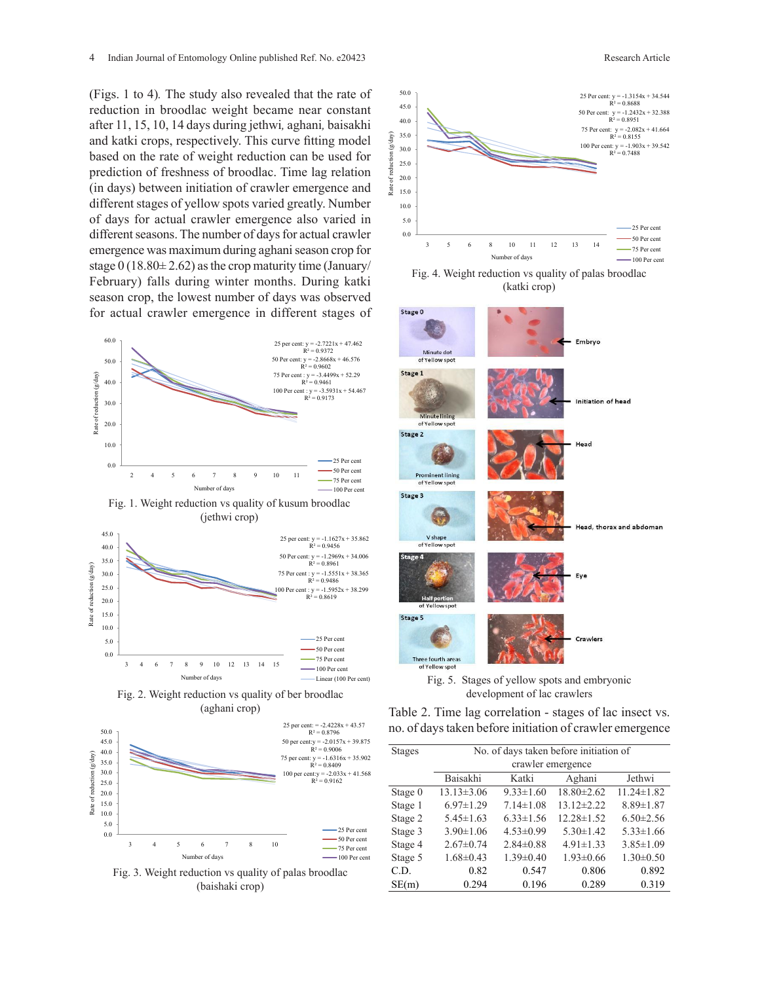(Figs. 1 to 4)*.* The study also revealed that the rate of reduction in broodlac weight became near constant after 11, 15, 10, 14 days during jethwi*,* aghani*,* baisakhi and katki crops, respectively. This curve fitting model based on the rate of weight reduction can be used for prediction of freshness of broodlac. Time lag relation (in days) between initiation of crawler emergence and different stages of yellow spots varied greatly. Number of days for actual crawler emergence also varied in different seasons. The number of days for actual crawler emergence was maximum during aghani season crop for stage  $0$  (18.80 $\pm$  2.62) as the crop maturity time (January/ February) falls during winter months. During katki season crop, the lowest number of days was observed for actual crawler emergence in different stages of











Fig. 3. Weight reduction vs quality of palas broodlac (baishaki crop)



(katki crop) Fig. 4. Weight reduction vs quality of palas broodlac





Table 2. Time lag correlation - stages of lac insect vs. no. of days taken before initiation of crawler emergence

| <b>Stages</b> |                  |                 | No. of days taken before initiation of |                  |
|---------------|------------------|-----------------|----------------------------------------|------------------|
|               |                  |                 | crawler emergence                      |                  |
|               | Baisakhi         | Katki           | Aghani                                 | Jethwi           |
| Stage 0       | $13.13 \pm 3.06$ | $9.33 \pm 1.60$ | $18.80 \pm 2.62$                       | $11.24 \pm 1.82$ |
| Stage 1       | $6.97 \pm 1.29$  | $7.14 \pm 1.08$ | $13.12 \pm 2.22$                       | $8.89 \pm 1.87$  |
| Stage 2       | $5.45 \pm 1.63$  | $6.33 \pm 1.56$ | $12.28 \pm 1.52$                       | $6.50 \pm 2.56$  |
| Stage 3       | $3.90 \pm 1.06$  | $4.53 \pm 0.99$ | $5.30 \pm 1.42$                        | $5.33 \pm 1.66$  |
| Stage 4       | $2.67 \pm 0.74$  | $2.84 \pm 0.88$ | $4.91 \pm 1.33$                        | $3.85 \pm 1.09$  |
| Stage 5       | $1.68 \pm 0.43$  | $1.39 \pm 0.40$ | $1.93 \pm 0.66$                        | $1.30 \pm 0.50$  |
| C.D.          | 0.82             | 0.547           | 0.806                                  | 0.892            |
| SE(m)         | 0.294            | 0.196           | 0.289                                  | 0.319            |